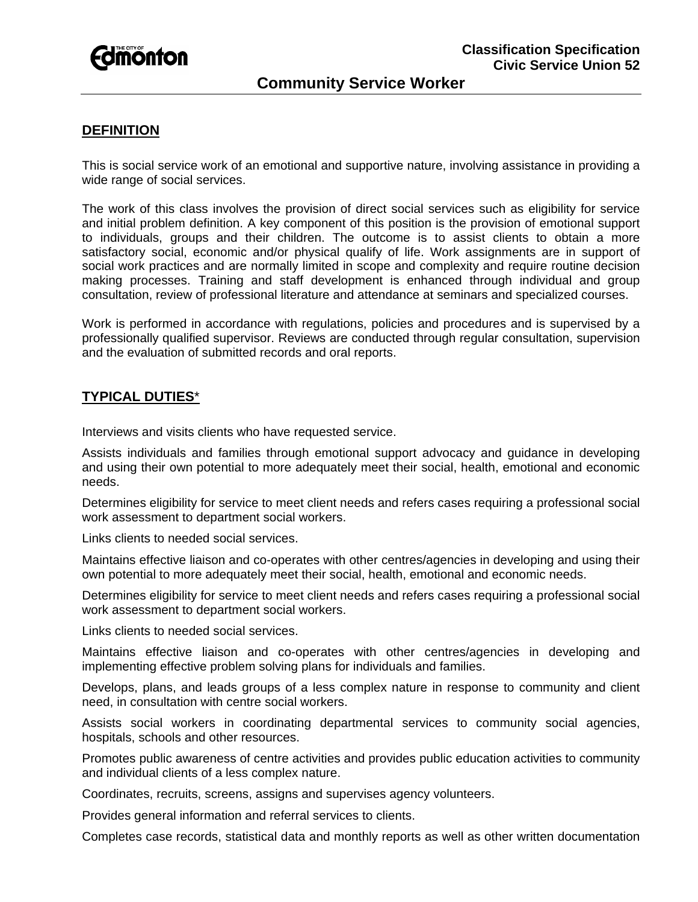

### **DEFINITION**

This is social service work of an emotional and supportive nature, involving assistance in providing a wide range of social services.

The work of this class involves the provision of direct social services such as eligibility for service and initial problem definition. A key component of this position is the provision of emotional support to individuals, groups and their children. The outcome is to assist clients to obtain a more satisfactory social, economic and/or physical qualify of life. Work assignments are in support of social work practices and are normally limited in scope and complexity and require routine decision making processes. Training and staff development is enhanced through individual and group consultation, review of professional literature and attendance at seminars and specialized courses.

Work is performed in accordance with regulations, policies and procedures and is supervised by a professionally qualified supervisor. Reviews are conducted through regular consultation, supervision and the evaluation of submitted records and oral reports.

# **TYPICAL DUTIES**\*

Interviews and visits clients who have requested service.

Assists individuals and families through emotional support advocacy and guidance in developing and using their own potential to more adequately meet their social, health, emotional and economic needs.

Determines eligibility for service to meet client needs and refers cases requiring a professional social work assessment to department social workers.

Links clients to needed social services.

Maintains effective liaison and co-operates with other centres/agencies in developing and using their own potential to more adequately meet their social, health, emotional and economic needs.

Determines eligibility for service to meet client needs and refers cases requiring a professional social work assessment to department social workers.

Links clients to needed social services.

Maintains effective liaison and co-operates with other centres/agencies in developing and implementing effective problem solving plans for individuals and families.

Develops, plans, and leads groups of a less complex nature in response to community and client need, in consultation with centre social workers.

Assists social workers in coordinating departmental services to community social agencies, hospitals, schools and other resources.

Promotes public awareness of centre activities and provides public education activities to community and individual clients of a less complex nature.

Coordinates, recruits, screens, assigns and supervises agency volunteers.

Provides general information and referral services to clients.

Completes case records, statistical data and monthly reports as well as other written documentation